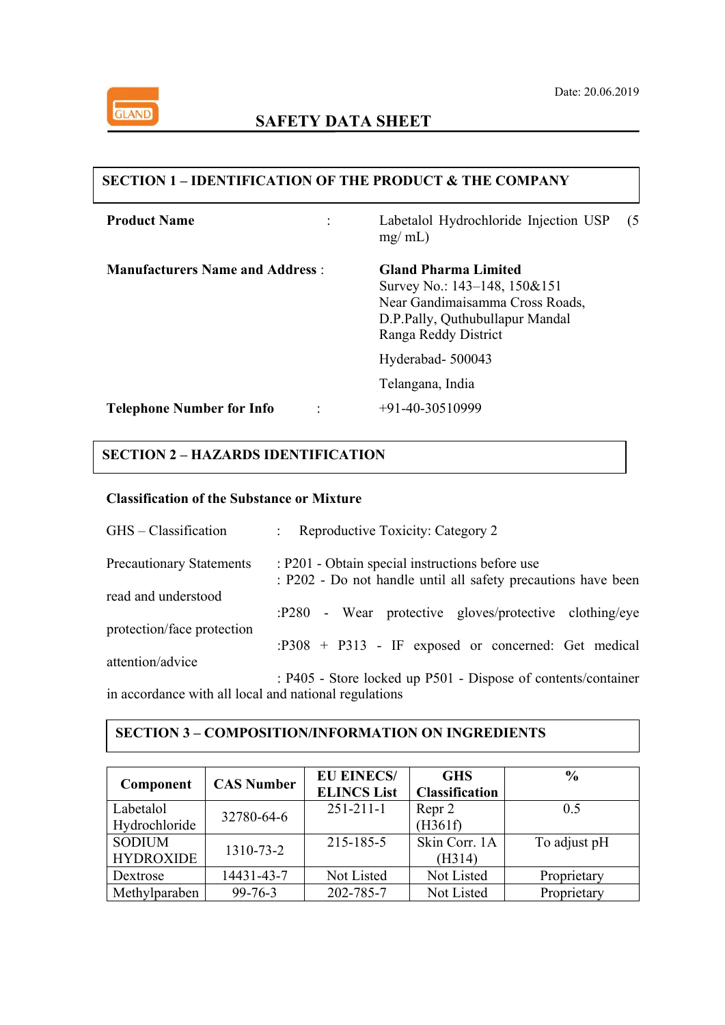

## **SECTION 1 – IDENTIFICATION OF THE PRODUCT & THE COMPANY**

| <b>Product Name</b>                    | Labetalol Hydrochloride Injection USP<br>$mg/ml$ )                                                                                                        | (5) |  |  |
|----------------------------------------|-----------------------------------------------------------------------------------------------------------------------------------------------------------|-----|--|--|
| <b>Manufacturers Name and Address:</b> | <b>Gland Pharma Limited</b><br>Survey No.: 143–148, 150&151<br>Near Gandimaisamma Cross Roads,<br>D.P.Pally, Quthubullapur Mandal<br>Ranga Reddy District |     |  |  |
|                                        | Hyderabad-500043                                                                                                                                          |     |  |  |
|                                        | Telangana, India                                                                                                                                          |     |  |  |
| <b>Telephone Number for Info</b>       | $+91-40-30510999$                                                                                                                                         |     |  |  |
|                                        |                                                                                                                                                           |     |  |  |

## **SECTION 2 – HAZARDS IDENTIFICATION**

## **Classification of the Substance or Mixture**

| GHS – Classification                                  | Reproductive Toxicity: Category 2<br>$\mathbb{R}^n$                                                              |
|-------------------------------------------------------|------------------------------------------------------------------------------------------------------------------|
| <b>Precautionary Statements</b>                       | : P201 - Obtain special instructions before use<br>: P202 - Do not handle until all safety precautions have been |
| read and understood                                   |                                                                                                                  |
|                                                       | - Wear protective gloves/protective clothing/eye<br>:P280                                                        |
| protection/face protection                            | $: P308 + P313$ - IF exposed or concerned: Get medical                                                           |
| attention/advice                                      |                                                                                                                  |
|                                                       | : P405 - Store locked up P501 - Dispose of contents/container                                                    |
| in accordance with all local and national regulations |                                                                                                                  |

### **SECTION 3 – COMPOSITION/INFORMATION ON INGREDIENTS**

| Component        | <b>CAS Number</b> | <b>EU EINECS/</b><br><b>ELINCS List</b> | <b>GHS</b><br><b>Classification</b> | $\%$         |
|------------------|-------------------|-----------------------------------------|-------------------------------------|--------------|
| Labetalol        | 32780-64-6        | $251 - 211 - 1$                         | Repr 2                              | 0.5          |
| Hydrochloride    |                   |                                         | (H361f)                             |              |
| <b>SODIUM</b>    | 1310-73-2         | 215-185-5                               | Skin Corr. 1A                       | To adjust pH |
| <b>HYDROXIDE</b> |                   |                                         | (H314)                              |              |
| Dextrose         | 14431-43-7        | Not Listed                              | Not Listed                          | Proprietary  |
| Methylparaben    | $99 - 76 - 3$     | 202-785-7                               | Not Listed                          | Proprietary  |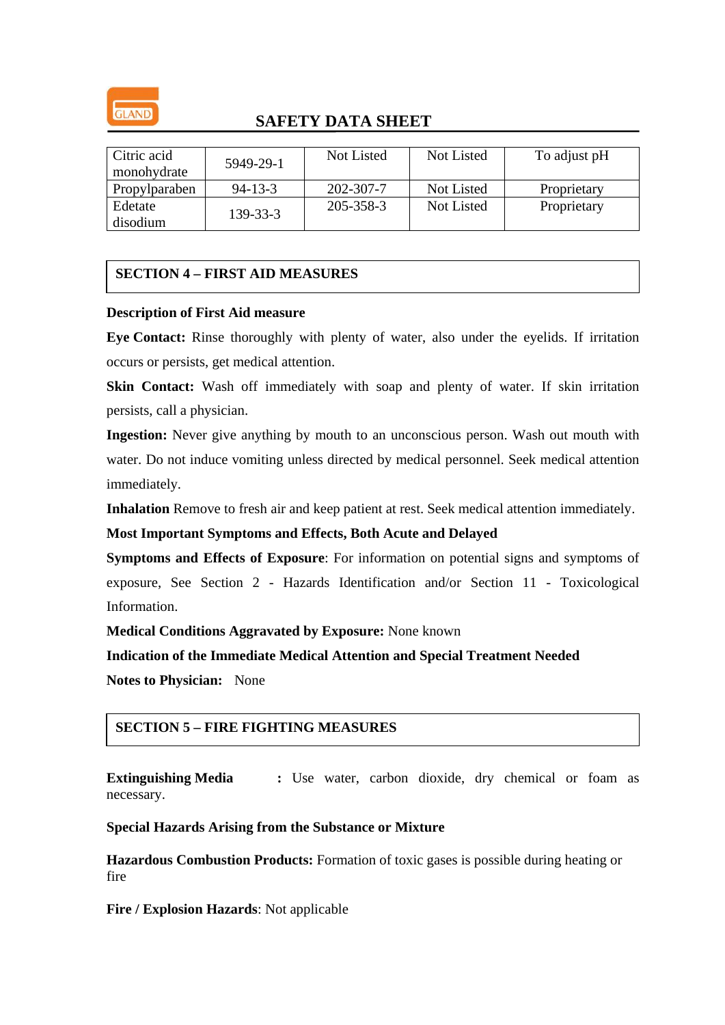

| Citric acid<br>monohydrate | 5949-29-1      | Not Listed | Not Listed | To adjust pH |
|----------------------------|----------------|------------|------------|--------------|
| Propylparaben              | $94 - 13 - 3$  | 202-307-7  | Not Listed | Proprietary  |
| Edetate<br>disodium        | $139 - 33 - 3$ | 205-358-3  | Not Listed | Proprietary  |

## **SECTION 4 – FIRST AID MEASURES**

### **Description of First Aid measure**

**Eye Contact:** Rinse thoroughly with plenty of water, also under the eyelids. If irritation occurs or persists, get medical attention.

**Skin Contact:** Wash off immediately with soap and plenty of water. If skin irritation persists, call a physician.

**Ingestion:** Never give anything by mouth to an unconscious person. Wash out mouth with water. Do not induce vomiting unless directed by medical personnel. Seek medical attention immediately.

**Inhalation** Remove to fresh air and keep patient at rest. Seek medical attention immediately.

**Most Important Symptoms and Effects, Both Acute and Delayed** 

**Symptoms and Effects of Exposure**: For information on potential signs and symptoms of exposure, See Section 2 - Hazards Identification and/or Section 11 - Toxicological Information.

**Medical Conditions Aggravated by Exposure:** None known

**Indication of the Immediate Medical Attention and Special Treatment Needed** 

**Notes to Physician:** None

## **SECTION 5 – FIRE FIGHTING MEASURES**

**Extinguishing Media :** Use water, carbon dioxide, dry chemical or foam as necessary.

### **Special Hazards Arising from the Substance or Mixture**

**Hazardous Combustion Products:** Formation of toxic gases is possible during heating or fire

**Fire / Explosion Hazards**: Not applicable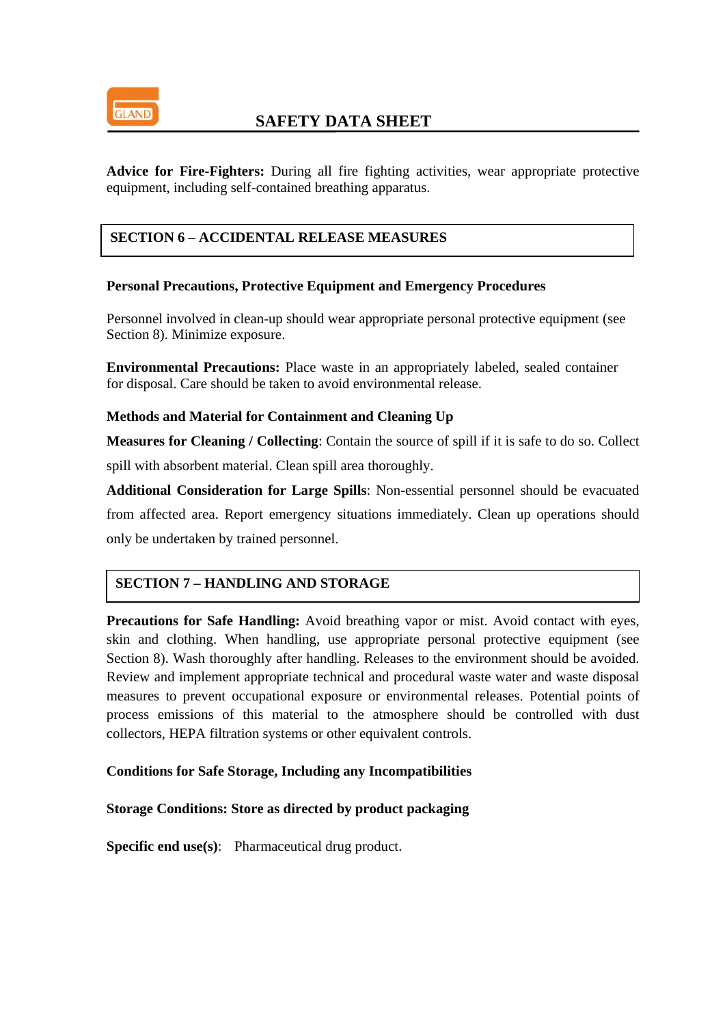

**Advice for Fire-Fighters:** During all fire fighting activities, wear appropriate protective equipment, including self-contained breathing apparatus.

### **SECTION 6 – ACCIDENTAL RELEASE MEASURES**

### **Personal Precautions, Protective Equipment and Emergency Procedures**

Personnel involved in clean-up should wear appropriate personal protective equipment (see Section 8). Minimize exposure.

**Environmental Precautions:** Place waste in an appropriately labeled, sealed container for disposal. Care should be taken to avoid environmental release.

### **Methods and Material for Containment and Cleaning Up**

**Measures for Cleaning / Collecting**: Contain the source of spill if it is safe to do so. Collect spill with absorbent material. Clean spill area thoroughly.

**Additional Consideration for Large Spills**: Non-essential personnel should be evacuated from affected area. Report emergency situations immediately. Clean up operations should only be undertaken by trained personnel.

## **SECTION 7 – HANDLING AND STORAGE**

**Precautions for Safe Handling:** Avoid breathing vapor or mist. Avoid contact with eyes, skin and clothing. When handling, use appropriate personal protective equipment (see Section 8). Wash thoroughly after handling. Releases to the environment should be avoided. Review and implement appropriate technical and procedural waste water and waste disposal measures to prevent occupational exposure or environmental releases. Potential points of process emissions of this material to the atmosphere should be controlled with dust collectors, HEPA filtration systems or other equivalent controls.

### **Conditions for Safe Storage, Including any Incompatibilities**

### **Storage Conditions: Store as directed by product packaging**

**Specific end use(s):** Pharmaceutical drug product.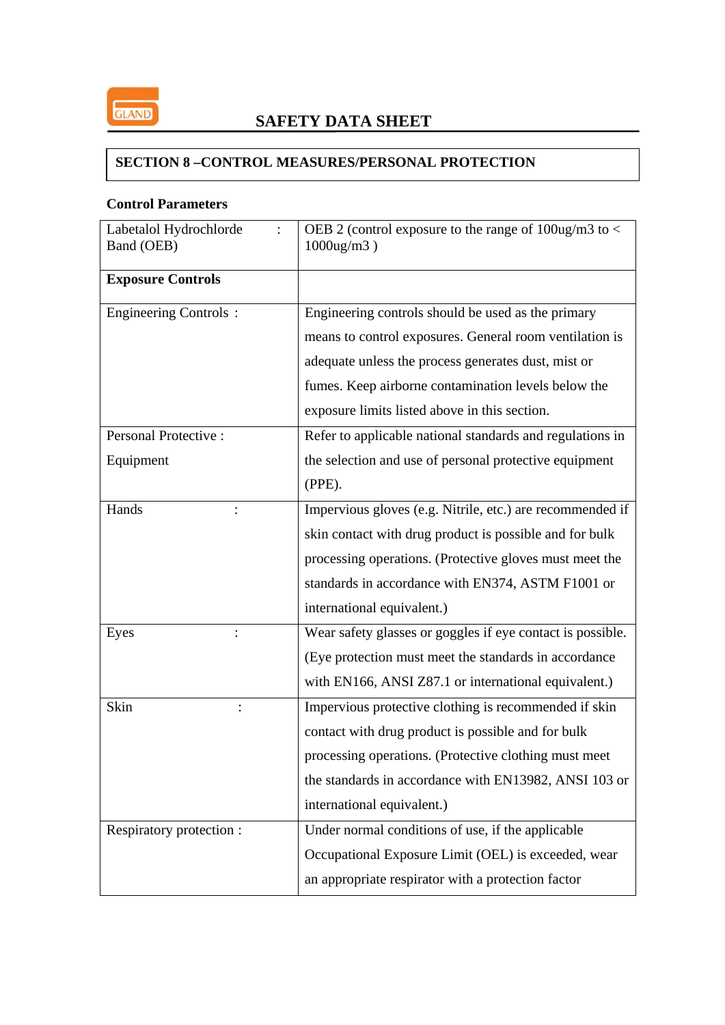

## **SECTION 8 –CONTROL MEASURES/PERSONAL PROTECTION**

## **Control Parameters**

| Labetalol Hydrochlorde<br>Band (OEB) | OEB 2 (control exposure to the range of $100$ ug/m3 to <<br>$1000$ ug/m $3$ ) |  |  |
|--------------------------------------|-------------------------------------------------------------------------------|--|--|
| <b>Exposure Controls</b>             |                                                                               |  |  |
| <b>Engineering Controls:</b>         | Engineering controls should be used as the primary                            |  |  |
|                                      | means to control exposures. General room ventilation is                       |  |  |
|                                      | adequate unless the process generates dust, mist or                           |  |  |
|                                      | fumes. Keep airborne contamination levels below the                           |  |  |
|                                      | exposure limits listed above in this section.                                 |  |  |
| <b>Personal Protective:</b>          | Refer to applicable national standards and regulations in                     |  |  |
| Equipment                            | the selection and use of personal protective equipment                        |  |  |
|                                      | (PPE).                                                                        |  |  |
| Hands                                | Impervious gloves (e.g. Nitrile, etc.) are recommended if                     |  |  |
|                                      | skin contact with drug product is possible and for bulk                       |  |  |
|                                      | processing operations. (Protective gloves must meet the                       |  |  |
|                                      | standards in accordance with EN374, ASTM F1001 or                             |  |  |
|                                      | international equivalent.)                                                    |  |  |
| Eyes                                 | Wear safety glasses or goggles if eye contact is possible.                    |  |  |
|                                      | (Eye protection must meet the standards in accordance)                        |  |  |
|                                      | with EN166, ANSI Z87.1 or international equivalent.)                          |  |  |
| Skin                                 | Impervious protective clothing is recommended if skin                         |  |  |
|                                      | contact with drug product is possible and for bulk                            |  |  |
|                                      | processing operations. (Protective clothing must meet                         |  |  |
|                                      | the standards in accordance with EN13982, ANSI 103 or                         |  |  |
|                                      | international equivalent.)                                                    |  |  |
| Respiratory protection :             | Under normal conditions of use, if the applicable                             |  |  |
|                                      | Occupational Exposure Limit (OEL) is exceeded, wear                           |  |  |
|                                      | an appropriate respirator with a protection factor                            |  |  |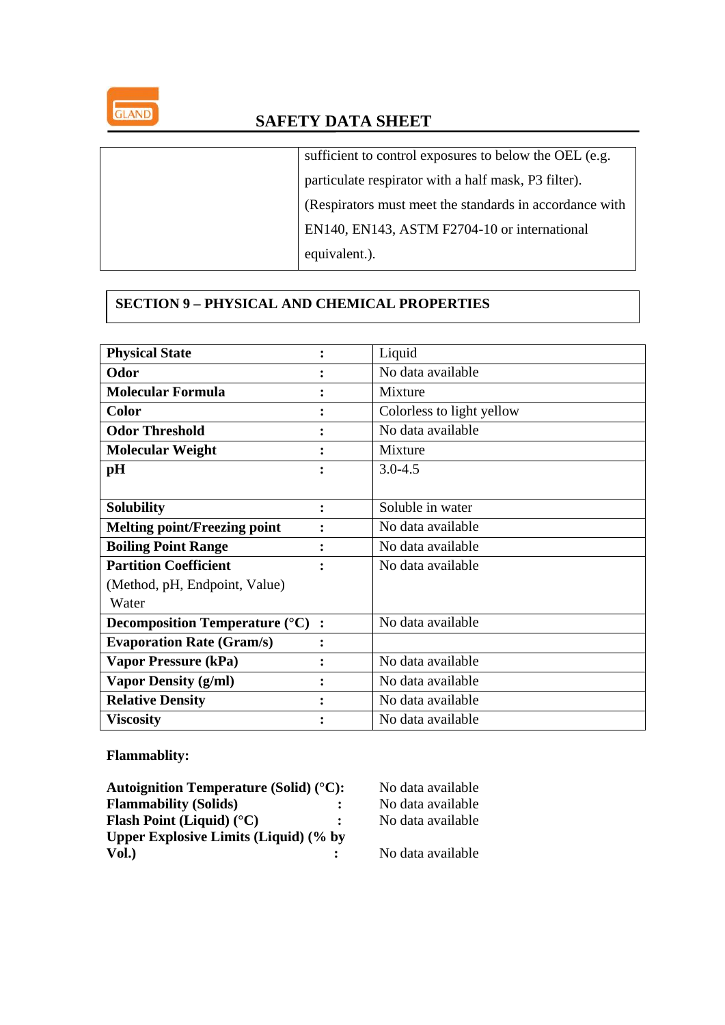

| sufficient to control exposures to below the OEL (e.g.  |
|---------------------------------------------------------|
| particulate respirator with a half mask, P3 filter).    |
| (Respirators must meet the standards in accordance with |
| EN140, EN143, ASTM F2704-10 or international            |
| equivalent.).                                           |

## **SECTION 9 – PHYSICAL AND CHEMICAL PROPERTIES**

| <b>Physical State</b>                                       |        | Liquid                    |
|-------------------------------------------------------------|--------|---------------------------|
| Odor                                                        |        | No data available         |
| <b>Molecular Formula</b>                                    |        | Mixture                   |
| <b>Color</b>                                                |        | Colorless to light yellow |
| <b>Odor Threshold</b>                                       |        | No data available         |
| <b>Molecular Weight</b>                                     |        | Mixture                   |
| pH                                                          | ٠<br>٠ | $3.0 - 4.5$               |
|                                                             |        |                           |
| <b>Solubility</b>                                           | ፡      | Soluble in water          |
| <b>Melting point/Freezing point</b>                         |        | No data available         |
| <b>Boiling Point Range</b>                                  |        | No data available         |
| <b>Partition Coefficient</b>                                | ٠      | No data available         |
| (Method, pH, Endpoint, Value)                               |        |                           |
| Water                                                       |        |                           |
| <b>Decomposition Temperature (<math>^{\circ}</math>C)</b> : |        | No data available         |
| <b>Evaporation Rate (Gram/s)</b>                            | ፡      |                           |
| Vapor Pressure (kPa)                                        |        | No data available         |
| <b>Vapor Density (g/ml)</b>                                 |        | No data available         |
| <b>Relative Density</b>                                     |        | No data available         |
| <b>Viscosity</b>                                            |        | No data available         |

## **Flammablity:**

| Autoignition Temperature (Solid) $(^{\circ}C)$ : |                | No data available |
|--------------------------------------------------|----------------|-------------------|
| <b>Flammability (Solids)</b>                     | $\ddot{\cdot}$ | No data available |
| <b>Flash Point (Liquid)</b> ( $^{\circ}$ C)      | $\mathbf{L}$   | No data available |
| <b>Upper Explosive Limits (Liquid) (% by</b>     |                |                   |
| Vol.)                                            |                | No data available |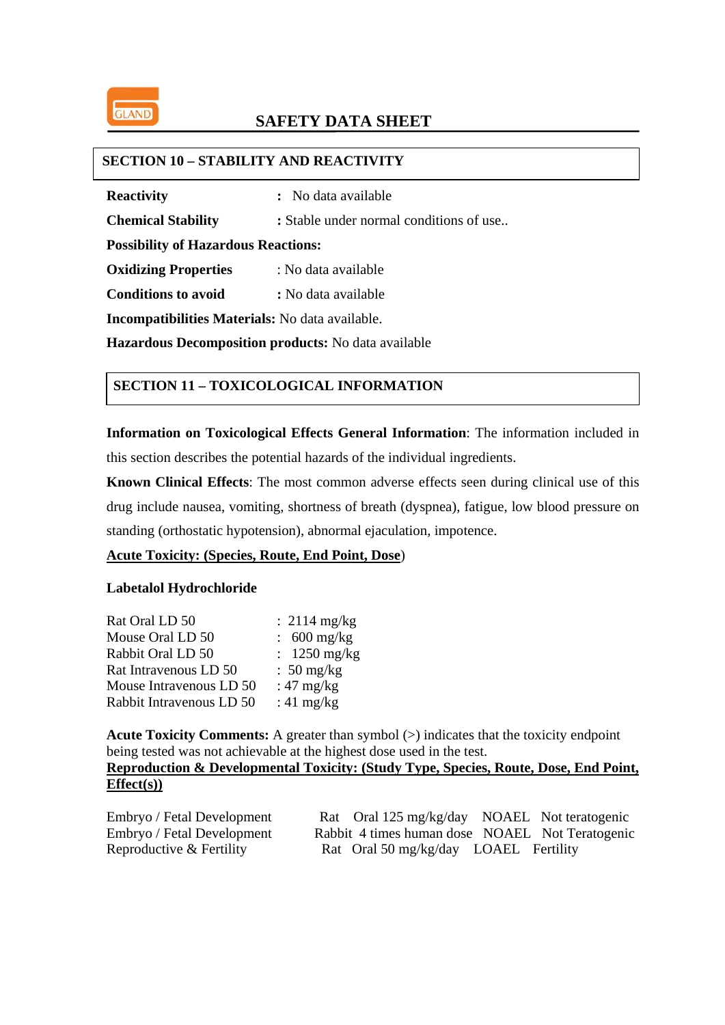

### **SECTION 10 – STABILITY AND REACTIVITY**

**Reactivity** : No data available

**Chemical Stability** : Stable under normal conditions of use..

**Possibility of Hazardous Reactions:** 

**Oxidizing Properties** : No data available

**Conditions to avoid : No data available** 

**Incompatibilities Materials:** No data available.

**Hazardous Decomposition products:** No data available

## **SECTION 11 – TOXICOLOGICAL INFORMATION**

**Information on Toxicological Effects General Information**: The information included in this section describes the potential hazards of the individual ingredients.

**Known Clinical Effects**: The most common adverse effects seen during clinical use of this drug include nausea, vomiting, shortness of breath (dyspnea), fatigue, low blood pressure on standing (orthostatic hypotension), abnormal ejaculation, impotence.

#### **Acute Toxicity: (Species, Route, End Point, Dose**)

### **Labetalol Hydrochloride**

| Rat Oral LD 50           | $: 2114 \text{ mg/kg}$      |
|--------------------------|-----------------------------|
| Mouse Oral LD 50         | $\approx 600 \text{ mg/kg}$ |
| Rabbit Oral LD 50        | $\therefore$ 1250 mg/kg     |
| Rat Intravenous LD 50    | $\approx 50 \text{ mg/kg}$  |
| Mouse Intravenous LD 50  | : $47 \text{ mg/kg}$        |
| Rabbit Intravenous LD 50 | : $41 \text{ mg/kg}$        |

**Acute Toxicity Comments:** A greater than symbol ( $>$ ) indicates that the toxicity endpoint being tested was not achievable at the highest dose used in the test.

## **Reproduction & Developmental Toxicity: (Study Type, Species, Route, Dose, End Point, Effect(s))**

| Embryo / Fetal Development | Rat Oral 125 mg/kg/day NOAEL Not teratogenic    |  |
|----------------------------|-------------------------------------------------|--|
| Embryo / Fetal Development | Rabbit 4 times human dose NOAEL Not Teratogenic |  |
| Reproductive & Fertility   | Rat Oral 50 mg/kg/day LOAEL Fertility           |  |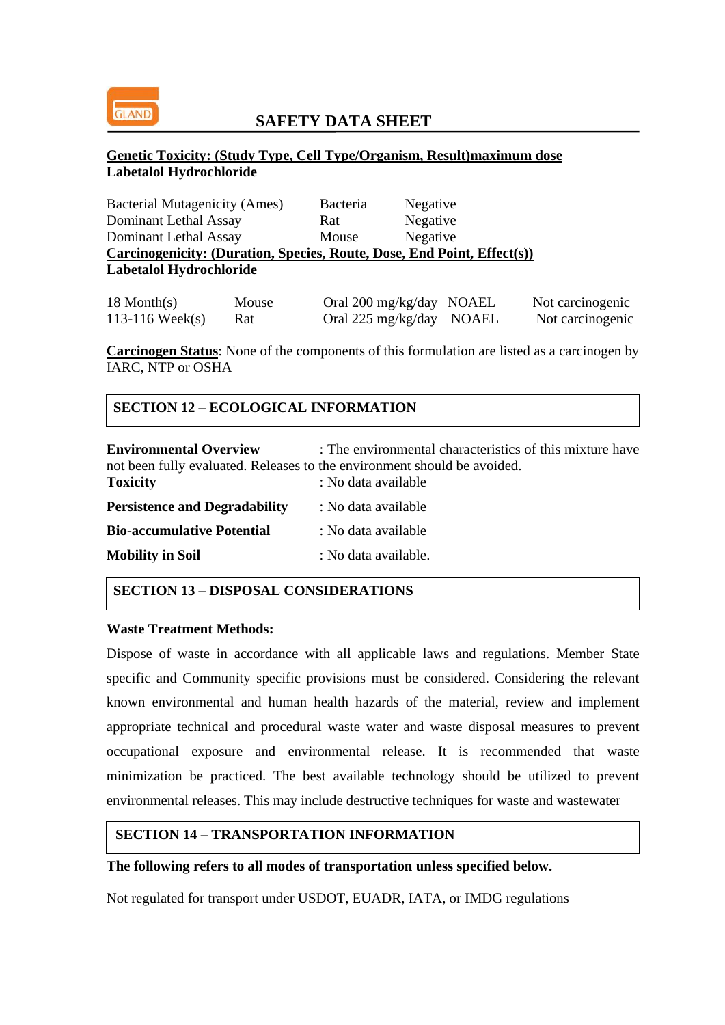

### **Genetic Toxicity: (Study Type, Cell Type/Organism, Result)maximum dose Labetalol Hydrochloride**

| <b>Bacterial Mutagenicity (Ames)</b>                                    | Bacteria | Negative |
|-------------------------------------------------------------------------|----------|----------|
| Dominant Lethal Assay                                                   | Rat      | Negative |
| Dominant Lethal Assay                                                   | Mouse    | Negative |
| Carcinogenicity: (Duration, Species, Route, Dose, End Point, Effect(s)) |          |          |
| Labetalol Hydrochloride                                                 |          |          |
|                                                                         |          |          |

| $18$ Month(s)      | Mouse | Oral 200 mg/kg/day NOAEL | Not carcinogenic |
|--------------------|-------|--------------------------|------------------|
| 113-116 Week $(s)$ | Rat   | Oral 225 mg/kg/day NOAEL | Not carcinogenic |

**Carcinogen Status**: None of the components of this formulation are listed as a carcinogen by IARC, NTP or OSHA

## **SECTION 12 – ECOLOGICAL INFORMATION**

| <b>Environmental Overview</b><br>not been fully evaluated. Releases to the environment should be avoided.<br><b>Toxicity</b> | : The environmental characteristics of this mixture have<br>: No data available |
|------------------------------------------------------------------------------------------------------------------------------|---------------------------------------------------------------------------------|
| <b>Persistence and Degradability</b>                                                                                         | : No data available                                                             |
| <b>Bio-accumulative Potential</b>                                                                                            | : No data available                                                             |
| <b>Mobility in Soil</b>                                                                                                      | : No data available.                                                            |

#### **SECTION 13 – DISPOSAL CONSIDERATIONS**

#### **Waste Treatment Methods:**

Dispose of waste in accordance with all applicable laws and regulations. Member State specific and Community specific provisions must be considered. Considering the relevant known environmental and human health hazards of the material, review and implement appropriate technical and procedural waste water and waste disposal measures to prevent occupational exposure and environmental release. It is recommended that waste minimization be practiced. The best available technology should be utilized to prevent environmental releases. This may include destructive techniques for waste and wastewater

### **SECTION 14 – TRANSPORTATION INFORMATION**

### **The following refers to all modes of transportation unless specified below.**

Not regulated for transport under USDOT, EUADR, IATA, or IMDG regulations